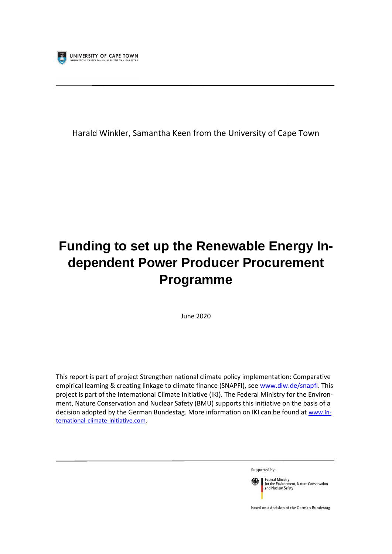

Harald Winkler, Samantha Keen from the University of Cape Town

# **Funding to set up the Renewable Energy Independent Power Producer Procurement Programme**

June 2020

This report is part of project Strengthen national climate policy implementation: Comparative empirical learning & creating linkage to climate finance (SNAPFI), see [www.diw.de/snapfi.](http://www.diw.de/snapfi) This project is part of the International Climate Initiative (IKI). The Federal Ministry for the Environment, Nature Conservation and Nuclear Safety (BMU) supports this initiative on the basis of a decision adopted by the German Bundestag. More information on IKI can be found at [www.in](http://www.international-climate-initiative.com/)[ternational-climate-initiative.com.](http://www.international-climate-initiative.com/)

Supported by:



based on a decision of the German Bundestag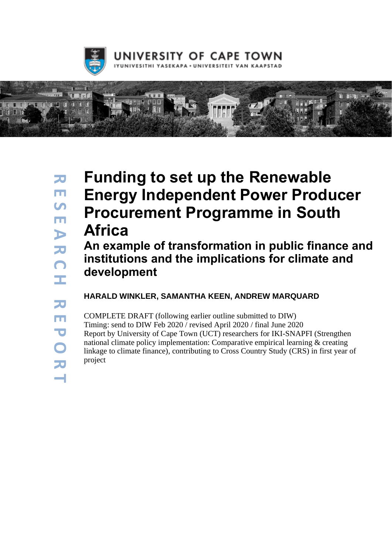



# **Funding to set up the Renewable Energy Independent Power Producer Procurement Programme in South Africa**

**An example of transformation in public finance and institutions and the implications for climate and development** 

**HARALD WINKLER, SAMANTHA KEEN, ANDREW MARQUARD**

COMPLETE DRAFT (following earlier outline submitted to DIW) Timing: send to DIW Feb 2020 / revised April 2020 / final June 2020 Report by University of Cape Town (UCT) researchers for IKI-SNAPFI (Strengthen national climate policy implementation: Comparative empirical learning & creating linkage to climate finance), contributing to Cross Country Study (CRS) in first year of project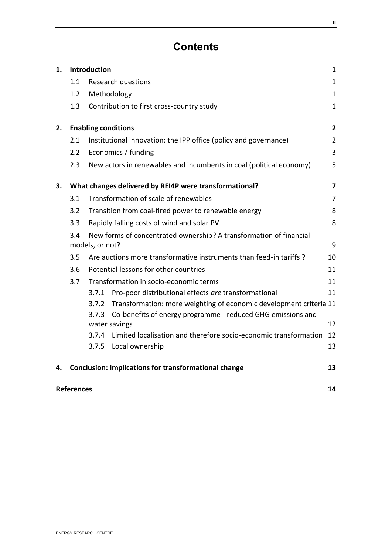# **Contents**

| 1. | Introduction                                           |                                                                                       |                                                                              | 1              |
|----|--------------------------------------------------------|---------------------------------------------------------------------------------------|------------------------------------------------------------------------------|----------------|
|    | 1.1                                                    |                                                                                       | <b>Research questions</b>                                                    | $\mathbf{1}$   |
|    | 1.2                                                    |                                                                                       | Methodology                                                                  | $\mathbf{1}$   |
|    | 1.3                                                    |                                                                                       | Contribution to first cross-country study                                    | $\mathbf{1}$   |
| 2. | <b>Enabling conditions</b>                             |                                                                                       |                                                                              | $\mathbf{2}$   |
|    | 2.1                                                    |                                                                                       | Institutional innovation: the IPP office (policy and governance)             | $\overline{2}$ |
|    | 2.2                                                    |                                                                                       | Economics / funding                                                          | 3              |
|    | 2.3                                                    |                                                                                       | New actors in renewables and incumbents in coal (political economy)          | 5              |
| З. | What changes delivered by REI4P were transformational? |                                                                                       |                                                                              | $\overline{7}$ |
|    | 3.1                                                    |                                                                                       | Transformation of scale of renewables                                        | 7              |
|    | 3.2                                                    |                                                                                       | Transition from coal-fired power to renewable energy                         | 8              |
|    | 3.3                                                    | Rapidly falling costs of wind and solar PV                                            |                                                                              | 8              |
|    | 3.4                                                    | New forms of concentrated ownership? A transformation of financial<br>models, or not? |                                                                              |                |
|    | 3.5                                                    |                                                                                       | Are auctions more transformative instruments than feed-in tariffs ?          | 10             |
|    | 3.6                                                    | Potential lessons for other countries                                                 |                                                                              | 11             |
|    | 3.7                                                    | Transformation in socio-economic terms                                                |                                                                              | 11             |
|    |                                                        | 3.7.1                                                                                 | Pro-poor distributional effects are transformational                         | 11             |
|    |                                                        | 3.7.2                                                                                 | Transformation: more weighting of economic development criteria 11           |                |
|    |                                                        | 3.7.3                                                                                 | Co-benefits of energy programme - reduced GHG emissions and<br>water savings | 12             |
|    |                                                        | 3.7.4                                                                                 | Limited localisation and therefore socio-economic transformation             | 12             |
|    |                                                        | 3.7.5                                                                                 | Local ownership                                                              | 13             |
| 4. |                                                        |                                                                                       | <b>Conclusion: Implications for transformational change</b>                  | 13             |
|    | <b>References</b>                                      |                                                                                       |                                                                              |                |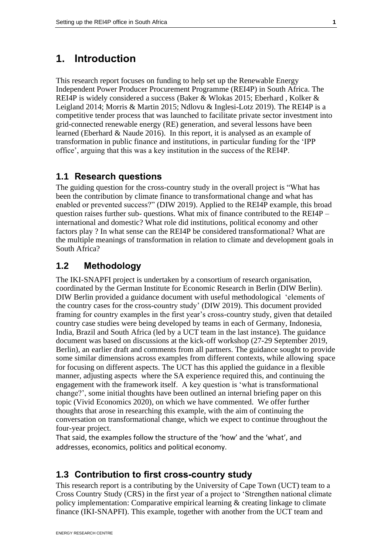### <span id="page-3-0"></span>**1. Introduction**

This research report focuses on funding to help set up the Renewable Energy Independent Power Producer Procurement Programme (REI4P) in South Africa. The REI4P is widely considered a success (Baker & Wlokas 2015; Eberhard , Kolker & Leigland 2014; Morris & Martin 2015; Ndlovu & Inglesi-Lotz 2019). The REI4P is a competitive tender process that was launched to facilitate private sector investment into grid-connected renewable energy (RE) generation, and several lessons have been learned (Eberhard & Naude 2016). In this report, it is analysed as an example of transformation in public finance and institutions, in particular funding for the 'IPP office', arguing that this was a key institution in the success of the REI4P.

#### <span id="page-3-1"></span>**1.1 Research questions**

The guiding question for the cross-country study in the overall project is "What has been the contribution by climate finance to transformational change and what has enabled or prevented success?" (DIW 2019). Applied to the REI4P example, this broad question raises further sub- questions. What mix of finance contributed to the REI4P – international and domestic? What role did institutions, political economy and other factors play ? In what sense can the REI4P be considered transformational? What are the multiple meanings of transformation in relation to climate and development goals in South Africa?

#### <span id="page-3-2"></span>**1.2 Methodology**

The IKI-SNAPFI project is undertaken by a consortium of research organisation, coordinated by the German Institute for Economic Research in Berlin (DIW Berlin). DIW Berlin provided a guidance document with useful methodological 'elements of the country cases for the cross-country study' (DIW 2019). This document provided framing for country examples in the first year's cross-country study, given that detailed country case studies were being developed by teams in each of Germany, Indonesia, India, Brazil and South Africa (led by a UCT team in the last instance). The guidance document was based on discussions at the kick-off workshop (27-29 September 2019, Berlin), an earlier draft and comments from all partners. The guidance sought to provide some similar dimensions across examples from different contexts, while allowing space for focusing on different aspects. The UCT has this applied the guidance in a flexible manner, adjusting aspects where the SA experience required this, and continuing the engagement with the framework itself. A key question is 'what is transformational change?', some initial thoughts have been outlined an internal briefing paper on this topic (Vivid Economics 2020), on which we have commented. We offer further thoughts that arose in researching this example, with the aim of continuing the conversation on transformational change, which we expect to continue throughout the four-year project.

That said, the examples follow the structure of the 'how' and the 'what', and addresses, economics, politics and political economy.

#### <span id="page-3-3"></span>**1.3 Contribution to first cross-country study**

This research report is a contributing by the University of Cape Town (UCT) team to a Cross Country Study (CRS) in the first year of a project to 'Strengthen national climate policy implementation: Comparative empirical learning & creating linkage to climate finance (IKI-SNAPFI). This example, together with another from the UCT team and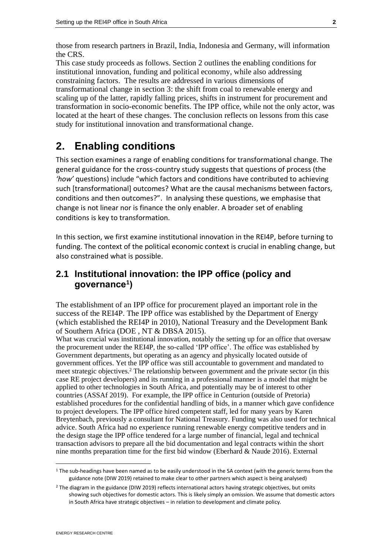those from research partners in Brazil, India, Indonesia and Germany, will information the CRS.

This case study proceeds as follows. Section [2](#page-4-0) outlines the enabling conditions for institutional innovation, funding and political economy, while also addressing constraining factors. The results are addressed in various dimensions of transformational change in section [3:](#page-9-0) the shift from coal to renewable energy and scaling up of the latter, rapidly falling prices, shifts in instrument for procurement and transformation in socio-economic benefits. The IPP office, while not the only actor, was located at the heart of these changes. The conclusion reflects on lessons from this case study for institutional innovation and transformational change.

# <span id="page-4-0"></span>**2. Enabling conditions**

This section examines a range of enabling conditions for transformational change. The general guidance for the cross-country study suggests that questions of process (the *'how'* questions) include "which factors and conditions have contributed to achieving such [transformational] outcomes? What are the causal mechanisms between factors, conditions and then outcomes?". In analysing these questions, we emphasise that change is not linear nor is finance the only enabler. A broader set of enabling conditions is key to transformation.

In this section, we first examine institutional innovation in the REI4P, before turning to funding. The context of the political economic context is crucial in enabling change, but also constrained what is possible.

#### <span id="page-4-1"></span>**2.1 Institutional innovation: the IPP office (policy and governance<sup>1</sup> )**

The establishment of an IPP office for procurement played an important role in the success of the REI4P. The IPP office was established by the Department of Energy (which established the REI4P in 2010), National Treasury and the Development Bank of Southern Africa (DOE , NT & DBSA 2015).

What was crucial was institutional innovation, notably the setting up for an office that oversaw the procurement under the REI4P, the so-called 'IPP office'. The office was established by Government departments, but operating as an agency and physically located outside of government offices. Yet the IPP office was still accountable to government and mandated to meet strategic objectives.<sup>2</sup> The relationship between government and the private sector (in this case RE project developers) and its running in a professional manner is a model that might be applied to other technologies in South Africa, and potentially may be of interest to other countries (ASSAf 2019). For example, the IPP office in Centurion (outside of Pretoria) established procedures for the confidential handling of bids, in a manner which gave confidence to project developers. The IPP office hired competent staff, led for many years by Karen Breytenbach, previously a consultant for National Treasury. Funding was also used for technical advice. South Africa had no experience running renewable energy competitive tenders and in the design stage the IPP office tendered for a large number of financial, legal and technical transaction advisors to prepare all the bid documentation and legal contracts within the short nine months preparation time for the first bid window (Eberhard & Naude 2016). External

 $1$  The sub-headings have been named as to be easily understood in the SA context (with the generic terms from the guidance note (DIW 2019) retained to make clear to other partners which aspect is being analysed)

<sup>2</sup> The diagram in the guidance (DIW 2019) reflects international actors having strategic objectives, but omits showing such objectives for domestic actors. This is likely simply an omission. We assume that domestic actors in South Africa have strategic objectives – in relation to development and climate policy.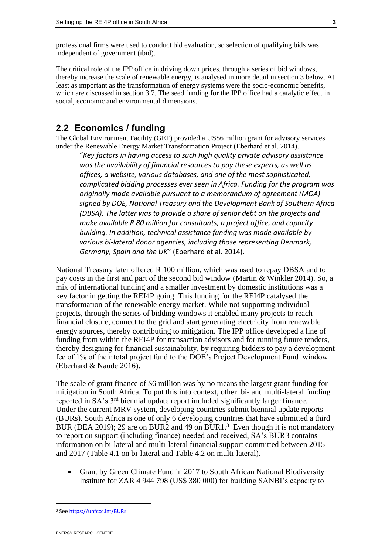professional firms were used to conduct bid evaluation, so selection of qualifying bids was independent of government (ibid).

The critical role of the IPP office in driving down prices, through a series of bid windows, thereby increase the scale of renewable energy, is analysed in more detail in section [3](#page-9-0) [below.](#page-9-0) At least as important as the transformation of energy systems were the socio-economic benefits, which are discussed in section [3.7.](#page-13-1) The seed funding for the IPP office had a catalytic effect in social, economic and environmental dimensions.

#### <span id="page-5-0"></span>**2.2 Economics / funding**

The Global Environment Facility (GEF) provided a US\$6 million grant for advisory services under the Renewable Energy Market Transformation Project (Eberhard et al. 2014).

"*Key factors in having access to such high quality private advisory assistance was the availability of financial resources to pay these experts, as well as offices, a website, various databases, and one of the most sophisticated, complicated bidding processes ever seen in Africa. Funding for the program was originally made available pursuant to a memorandum of agreement (MOA) signed by DOE, National Treasury and the Development Bank of Southern Africa (DBSA). The latter was to provide a share of senior debt on the projects and make available R 80 million for consultants, a project office, and capacity building. In addition, technical assistance funding was made available by various bi-lateral donor agencies, including those representing Denmark, Germany, Spain and the UK*" (Eberhard et al. 2014).

National Treasury later offered R 100 million, which was used to repay DBSA and to pay costs in the first and part of the second bid window (Martin & Winkler 2014). So, a mix of international funding and a smaller investment by domestic institutions was a key factor in getting the REI4P going. This funding for the REI4P catalysed the transformation of the renewable energy market. While not supporting individual projects, through the series of bidding windows it enabled many projects to reach financial closure, connect to the grid and start generating electricity from renewable energy sources, thereby contributing to mitigation. The IPP office developed a line of funding from within the REI4P for transaction advisors and for running future tenders, thereby designing for financial sustainability, by requiring bidders to pay a development fee of 1% of their total project fund to the DOE's Project Development Fund window (Eberhard & Naude 2016).

The scale of grant finance of \$6 million was by no means the largest grant funding for mitigation in South Africa. To put this into context, other bi- and multi-lateral funding reported in SA's 3rd biennial update report included significantly larger finance. Under the current MRV system, developing countries submit biennial update reports (BURs). South Africa is one of only 6 developing countries that have submitted a third BUR (DEA 2019); 29 are on BUR2 and 49 on BUR1.<sup>3</sup> Even though it is not mandatory to report on support (including finance) needed and received, SA's BUR3 contains information on bi-lateral and multi-lateral financial support committed between 2015 and 2017 (Table 4.1 on bi-lateral and Table 4.2 on multi-lateral).

• Grant by Green Climate Fund in 2017 to South African National Biodiversity Institute for ZAR 4 944 798 (US\$ 380 000) for building SANBI's capacity to

<sup>3</sup> Se[e https://unfccc.int/BURs](https://unfccc.int/BURs)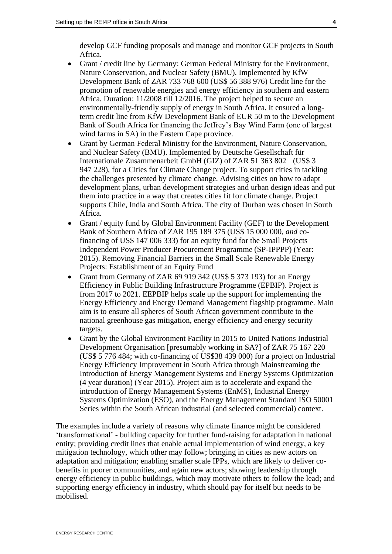develop GCF funding proposals and manage and monitor GCF projects in South Africa.

- Grant / credit line by Germany: German Federal Ministry for the Environment, Nature Conservation, and Nuclear Safety (BMU). Implemented by KfW Development Bank of ZAR 733 768 600 (US\$ 56 388 976) Credit line for the promotion of renewable energies and energy efficiency in southern and eastern Africa. Duration: 11/2008 till 12/2016. The project helped to secure an environmentally-friendly supply of energy in South Africa. It ensured a longterm credit line from KfW Development Bank of EUR 50 m to the Development Bank of South Africa for financing the Jeffrey's Bay Wind Farm (one of largest wind farms in SA) in the Eastern Cape province.
- Grant by German Federal Ministry for the Environment, Nature Conservation, and Nuclear Safety (BMU). Implemented by Deutsche Gesellschaft für Internationale Zusammenarbeit GmbH (GIZ) of ZAR 51 363 802 (US\$ 3 947 228), for a Cities for Climate Change project. To support cities in tackling the challenges presented by climate change. Advising cities on how to adapt development plans, urban development strategies and urban design ideas and put them into practice in a way that creates cities fit for climate change. Project supports Chile, India and South Africa. The city of Durban was chosen in South Africa.
- Grant / equity fund by Global Environment Facility (GEF) to the Development Bank of Southern Africa of ZAR 195 189 375 (US\$ 15 000 000, *and* cofinancing of US\$ 147 006 333) for an equity fund for the Small Projects Independent Power Producer Procurement Programme (SP-IPPPP) (Year: 2015). Removing Financial Barriers in the Small Scale Renewable Energy Projects: Establishment of an Equity Fund
- Grant from Germany of ZAR 69 919 342 (US\$ 5 373 193) for an Energy Efficiency in Public Building Infrastructure Programme (EPBIP). Project is from 2017 to 2021. EEPBIP helps scale up the support for implementing the Energy Efficiency and Energy Demand Management flagship programme. Main aim is to ensure all spheres of South African government contribute to the national greenhouse gas mitigation, energy efficiency and energy security targets.
- Grant by the Global Environment Facility in 2015 to United Nations Industrial Development Organisation [presumably working in SA?] of ZAR 75 167 220 (US\$ 5 776 484; with co-financing of US\$38 439 000) for a project on Industrial Energy Efficiency Improvement in South Africa through Mainstreaming the Introduction of Energy Management Systems and Energy Systems Optimization (4 year duration) (Year 2015). Project aim is to accelerate and expand the introduction of Energy Management Systems (EnMS), Industrial Energy Systems Optimization (ESO), and the Energy Management Standard ISO 50001 Series within the South African industrial (and selected commercial) context.

The examples include a variety of reasons why climate finance might be considered 'transformational' - building capacity for further fund-raising for adaptation in national entity; providing credit lines that enable actual implementation of wind energy, a key mitigation technology, which other may follow; bringing in cities as new actors on adaptation and mitigation; enabling smaller scale IPPs, which are likely to deliver cobenefits in poorer communities, and again new actors; showing leadership through energy efficiency in public buildings, which may motivate others to follow the lead; and supporting energy efficiency in industry, which should pay for itself but needs to be mobilised.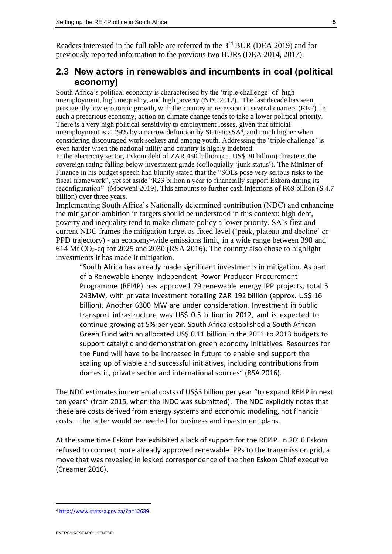Readers interested in the full table are referred to the 3<sup>rd</sup> BUR (DEA 2019) and for previously reported information to the previous two BURs (DEA 2014, 2017).

#### <span id="page-7-0"></span>**2.3 New actors in renewables and incumbents in coal (political economy)**

South Africa's political economy is characterised by the 'triple challenge' of high unemployment, high inequality, and high poverty (NPC 2012). The last decade has seen persistently low economic growth, with the country in recession in several quarters (REF). In such a precarious economy, action on climate change tends to take a lower political priority. There is a very high political sensitivity to employment losses, given that official unemployment is at 29% by a narrow definition by Statistics SA<sup>4</sup>, and much higher when considering discouraged work seekers and among youth. Addressing the 'triple challenge' is even harder when the national utility and country is highly indebted.

In the electricity sector, Eskom debt of ZAR 450 billion (ca. US\$ 30 billion) threatens the sovereign rating falling below investment grade (colloquially 'junk status'). The Minister of Finance in his budget speech had bluntly stated that the "SOEs pose very serious risks to the fiscal framework", yet set aside "R23 billion a year to financially support Eskom during its reconfiguration" (Mboweni 2019). This amounts to further cash injections of R69 billion (\$ 4.7 billion) over three years.

Implementing South Africa's Nationally determined contribution (NDC) and enhancing the mitigation ambition in targets should be understood in this context: high debt, poverty and inequality tend to make climate policy a lower priority. SA's first and current NDC frames the mitigation target as fixed level ('peak, plateau and decline' or PPD trajectory) - an economy-wide emissions limit, in a wide range between 398 and 614 Mt CO2-eq for 2025 and 2030 (RSA 2016). The country also chose to highlight investments it has made it mitigation.

"South Africa has already made significant investments in mitigation. As part of a Renewable Energy Independent Power Producer Procurement Programme (REI4P) has approved 79 renewable energy IPP projects, total 5 243MW, with private investment totalling ZAR 192 billion (approx. US\$ 16 billion). Another 6300 MW are under consideration. Investment in public transport infrastructure was US\$ 0.5 billion in 2012, and is expected to continue growing at 5% per year. South Africa established a South African Green Fund with an allocated US\$ 0.11 billion in the 2011 to 2013 budgets to support catalytic and demonstration green economy initiatives. Resources for the Fund will have to be increased in future to enable and support the scaling up of viable and successful initiatives, including contributions from domestic, private sector and international sources" (RSA 2016).

The NDC estimates incremental costs of US\$3 billion per year "to expand REI4P in next ten years" (from 2015, when the INDC was submitted). The NDC explicitly notes that these are costs derived from energy systems and economic modeling, not financial costs – the latter would be needed for business and investment plans.

At the same time Eskom has exhibited a lack of support for the REI4P. In 2016 Eskom refused to connect more already approved renewable IPPs to the transmission grid, a move that was revealed in leaked correspondence of the then Eskom Chief executive (Creamer 2016).

<sup>4</sup> <http://www.statssa.gov.za/?p=12689>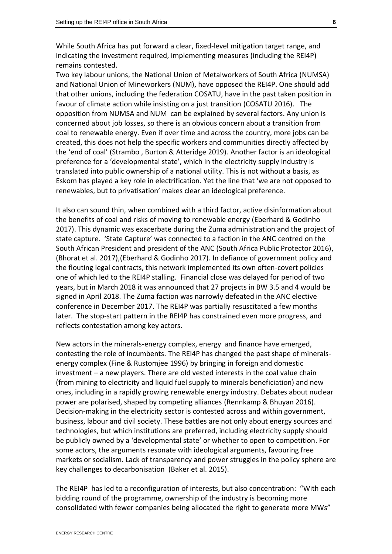While South Africa has put forward a clear, fixed-level mitigation target range, and indicating the investment required, implementing measures (including the REI4P) remains contested.

Two key labour unions, the National Union of Metalworkers of South Africa (NUMSA) and National Union of Mineworkers (NUM), have opposed the REI4P. One should add that other unions, including the federation COSATU, have in the past taken position in favour of climate action while insisting on a just transition (COSATU 2016). The opposition from NUMSA and NUM can be explained by several factors. Any union is concerned about job losses, so there is an obvious concern about a transition from coal to renewable energy. Even if over time and across the country, more jobs can be created, this does not help the specific workers and communities directly affected by the 'end of coal' (Strambo , Burton & Atteridge 2019). Another factor is an ideological preference for a 'developmental state', which in the electricity supply industry is translated into public ownership of a national utility. This is not without a basis, as Eskom has played a key role in electrification. Yet the line that 'we are not opposed to renewables, but to privatisation' makes clear an ideological preference.

It also can sound thin, when combined with a third factor, active disinformation about the benefits of coal and risks of moving to renewable energy (Eberhard & Godinho 2017). This dynamic was exacerbate during the Zuma administration and the project of state capture. 'State Capture' was connected to a faction in the ANC centred on the South African President and president of the ANC (South Africa Public Protector 2016), (Bhorat et al. 2017),(Eberhard & Godinho 2017). In defiance of government policy and the flouting legal contracts, this network implemented its own often-covert policies one of which led to the REI4P stalling. Financial close was delayed for period of two years, but in March 2018 it was announced that 27 projects in BW 3.5 and 4 would be signed in April 2018. The Zuma faction was narrowly defeated in the ANC elective conference in December 2017. The REI4P was partially resuscitated a few months later. The stop-start pattern in the REI4P has constrained even more progress, and reflects contestation among key actors.

<span id="page-8-0"></span>New actors in the minerals-energy complex, energy and finance have emerged, contesting the role of incumbents. The REI4P has changed the past shape of mineralsenergy complex (Fine & Rustomjee 1996) by bringing in foreign and domestic investment – a new players. There are old vested interests in the coal value chain (from mining to electricity and liquid fuel supply to minerals beneficiation) and new ones, including in a rapidly growing renewable energy industry. Debates about nuclear power are polarised, shaped by competing alliances (Rennkamp & Bhuyan 2016). Decision-making in the electricity sector is contested across and within government, business, labour and civil society. These battles are not only about energy sources and technologies, but which institutions are preferred, including electricity supply should be publicly owned by a 'developmental state' or whether to open to competition. For some actors, the arguments resonate with ideological arguments, favouring free markets or socialism. Lack of transparency and power struggles in the policy sphere are key challenges to decarbonisation (Baker et al. 2015).

The REI4P has led to a reconfiguration of interests, but also concentration: "With each bidding round of the programme, ownership of the industry is becoming more consolidated with fewer companies being allocated the right to generate more MWs"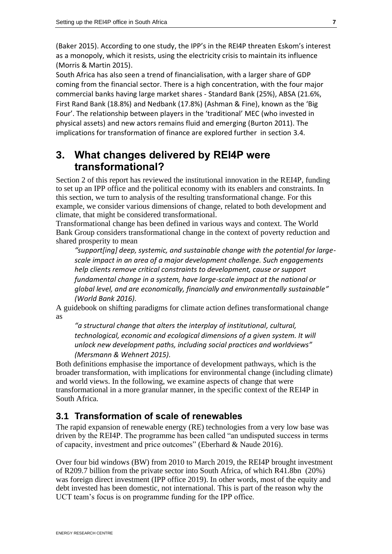(Baker 2015). According to one study, the IPP's in the REI4P threaten Eskom's interest as a monopoly, which it resists, using the electricity crisis to maintain its influence (Morris & Martin 2015).

South Africa has also seen a trend of financialisation, with a larger share of GDP coming from the financial sector. There is a high concentration, with the four major commercial banks having large market shares - Standard Bank (25%), ABSA (21.6%, First Rand Bank (18.8%) and Nedbank (17.8%) (Ashman & Fine), known as the 'Big Four'. The relationship between players in the 'traditional' MEC (who invested in physical assets) and new actors remains fluid and emerging (Burton 2011). The implications for transformation of finance are explored further in section [3.4.](#page-11-0)

# <span id="page-9-0"></span>**3. What changes delivered by REI4P were transformational?**

Section [2](#page-4-0) of this report has reviewed the institutional innovation in the REI4P, funding to set up an IPP office and the political economy with its enablers and constraints. In this section, we turn to analysis of the resulting transformational change. For this example, we consider various dimensions of change, related to both development and climate, that might be considered transformational.

Transformational change has been defined in various ways and context. The World Bank Group considers transformational change in the context of poverty reduction and shared prosperity to mean

*"support[ing] deep, systemic, and sustainable change with the potential for largescale impact in an area of a major development challenge. Such engagements help clients remove critical constraints to development, cause or support fundamental change in a system, have large-scale impact at the national or global level, and are economically, financially and environmentally sustainable" (World Bank 2016).* 

A guidebook on shifting paradigms for climate action defines transformational change as

*"a structural change that alters the interplay of institutional, cultural, technological, economic and ecological dimensions of a given system. It will unlock new development paths, including social practices and worldviews" (Mersmann & Wehnert 2015).* 

Both definitions emphasise the importance of development pathways, which is the broader transformation, with implications for environmental change (including climate) and world views. In the following, we examine aspects of change that were transformational in a more granular manner, in the specific context of the REI4P in South Africa.

## <span id="page-9-1"></span>**3.1 Transformation of scale of renewables**

The rapid expansion of renewable energy (RE) technologies from a very low base was driven by the REI4P. The programme has been called "an undisputed success in terms of capacity, investment and price outcomes" (Eberhard & Naude 2016).

Over four bid windows (BW) from 2010 to March 2019, the REI4P brought investment of R209.7 billion from the private sector into South Africa, of which R41.8bn (20%) was foreign direct investment (IPP office 2019). In other words, most of the equity and debt invested has been domestic, not international. This is part of the reason why the UCT team's focus is on programme funding for the IPP office.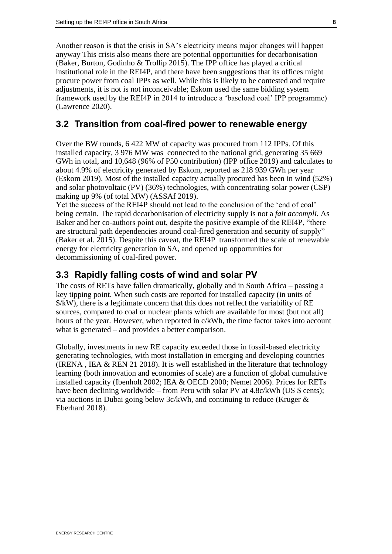Another reason is that the crisis in SA's electricity means major changes will happen anyway This crisis also means there are potential opportunities for decarbonisation (Baker, Burton, Godinho & Trollip 2015). The IPP office has played a critical institutional role in the REI4P, and there have been suggestions that its offices might procure power from coal IPPs as well. While this is likely to be contested and require adjustments, it is not is not inconceivable; Eskom used the same bidding system framework used by the REI4P in 2014 to introduce a 'baseload coal' IPP programme) (Lawrence 2020).

#### <span id="page-10-0"></span>**3.2 Transition from coal-fired power to renewable energy**

Over the BW rounds, 6 422 MW of capacity was procured from 112 IPPs. Of this installed capacity, 3 976 MW was connected to the national grid, generating 35 669 GWh in total, and 10,648 (96% of P50 contribution) (IPP office 2019) and calculates to about 4.9% of electricity generated by Eskom, reported as 218 939 GWh per year (Eskom 2019). Most of the installed capacity actually procured has been in wind (52%) and solar photovoltaic (PV) (36%) technologies, with concentrating solar power (CSP) making up 9% (of total MW) (ASSAf 2019).

Yet the success of the REI4P should not lead to the conclusion of the 'end of coal' being certain. The rapid decarbonisation of electricity supply is not a *fait accompli*. As Baker and her co-authors point out, despite the positive example of the REI4P, "there are structural path dependencies around coal-fired generation and security of supply" (Baker et al. 2015). Despite this caveat, the REI4P transformed the scale of renewable energy for electricity generation in SA, and opened up opportunities for decommissioning of coal-fired power.

#### <span id="page-10-1"></span>**3.3 Rapidly falling costs of wind and solar PV**

The costs of RETs have fallen dramatically, globally and in South Africa – passing a key tipping point. When such costs are reported for installed capacity (in units of \$/kW), there is a legitimate concern that this does not reflect the variability of RE sources, compared to coal or nuclear plants which are available for most (but not all) hours of the year. However, when reported in c/kWh, the time factor takes into account what is generated – and provides a better comparison.

Globally, investments in new RE capacity exceeded those in fossil-based electricity generating technologies, with most installation in emerging and developing countries (IRENA , IEA & REN 21 2018). It is well established in the literature that technology learning (both innovation and economies of scale) are a function of global cumulative installed capacity (Ibenholt 2002; IEA & OECD 2000; Nemet 2006). Prices for RETs have been declining worldwide – from Peru with solar PV at 4.8c/kWh (US \$ cents); via auctions in Dubai going below 3c/kWh, and continuing to reduce (Kruger & Eberhard 2018).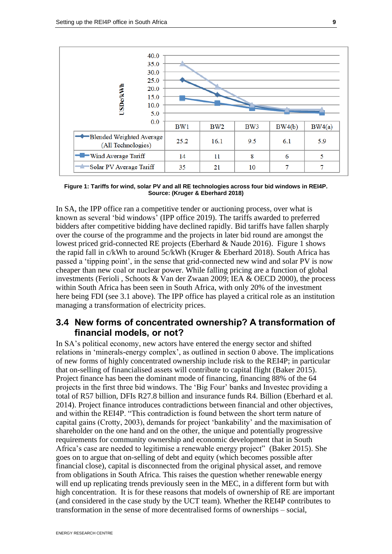

<span id="page-11-1"></span>**Figure 1: Tariffs for wind, solar PV and all RE technologies across four bid windows in REI4P. Source: (Kruger & Eberhard 2018)**

In SA, the IPP office ran a competitive tender or auctioning process, over what is known as several 'bid windows' (IPP office 2019). The tariffs awarded to preferred bidders after competitive bidding have declined rapidly. Bid tariffs have fallen sharply over the course of the programme and the projects in later bid round are amongst the lowest priced grid-connected RE projects (Eberhard & Naude 2016). [Figure 1](#page-11-1) shows the rapid fall in c/kWh to around 5c/kWh (Kruger & Eberhard 2018). South Africa has passed a 'tipping point', in the sense that grid-connected new wind and solar PV is now cheaper than new coal or nuclear power. While falling pricing are a function of global investments (Ferioli , Schoots & Van der Zwaan 2009; IEA & OECD 2000), the process within South Africa has been seen in South Africa, with only 20% of the investment here being FDI (see [3.1](#page-9-1) [above\)](#page-9-1). The IPP office has played a critical role as an institution managing a transformation of electricity prices.

#### <span id="page-11-0"></span>**3.4 New forms of concentrated ownership? A transformation of financial models, or not?**

In SA's political economy, new actors have entered the energy sector and shifted relations in 'minerals-energy complex', as outlined in section [0](#page-8-0) [above.](#page-8-0) The implications of new forms of highly concentrated ownership include risk to the REI4P; in particular that on-selling of financialised assets will contribute to capital flight (Baker 2015). Project finance has been the dominant mode of financing, financing 88% of the 64 projects in the first three bid windows. The 'Big Four' banks and Investec providing a total of R57 billion, DFIs R27.8 billion and insurance funds R4. Billion (Eberhard et al. 2014). Project finance introduces contradictions between financial and other objectives, and within the REI4P. "This contradiction is found between the short term nature of capital gains (Crotty, 2003), demands for project 'bankability' and the maximisation of shareholder on the one hand and on the other, the unique and potentially progressive requirements for community ownership and economic development that in South Africa's case are needed to legitimise a renewable energy project" (Baker 2015). She goes on to argue that on-selling of debt and equity (which becomes possible after financial close), capital is disconnected from the original physical asset, and remove from obligations in South Africa. This raises the question whether renewable energy will end up replicating trends previously seen in the MEC, in a different form but with high concentration. It is for these reasons that models of ownership of RE are important (and considered in the case study by the UCT team). Whether the REI4P contributes to transformation in the sense of more decentralised forms of ownerships – social,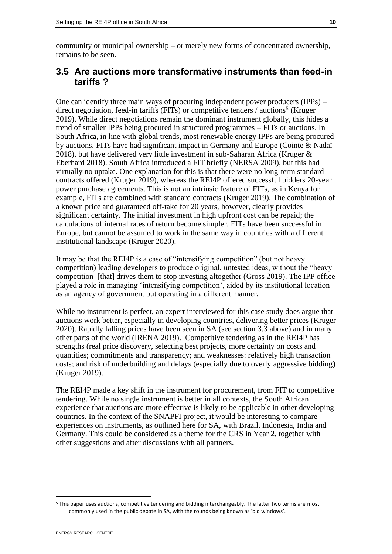community or municipal ownership – or merely new forms of concentrated ownership, remains to be seen.

#### <span id="page-12-0"></span>**3.5 Are auctions more transformative instruments than feed-in tariffs ?**

One can identify three main ways of procuring independent power producers (IPPs) – direct negotiation, feed-in tariffs (FITs) or competitive tenders / auctions<sup>5</sup> (Kruger 2019). While direct negotiations remain the dominant instrument globally, this hides a trend of smaller IPPs being procured in structured programmes – FITs or auctions. In South Africa, in line with global trends, most renewable energy IPPs are being procured by auctions. FITs have had significant impact in Germany and Europe (Cointe & Nadaï 2018), but have delivered very little investment in sub-Saharan Africa (Kruger & Eberhard 2018). South Africa introduced a FIT briefly (NERSA 2009), but this had virtually no uptake. One explanation for this is that there were no long-term standard contracts offered (Kruger 2019), whereas the REI4P offered successful bidders 20-year power purchase agreements. This is not an intrinsic feature of FITs, as in Kenya for example, FITs are combined with standard contracts (Kruger 2019). The combination of a known price and guaranteed off-take for 20 years, however, clearly provides significant certainty. The initial investment in high upfront cost can be repaid; the calculations of internal rates of return become simpler. FITs have been successful in Europe, but cannot be assumed to work in the same way in countries with a different institutional landscape (Kruger 2020).

It may be that the REI4P is a case of "intensifying competition" (but not heavy competition) leading developers to produce original, untested ideas, without the "heavy competition [that] drives them to stop investing altogether (Gross 2019). The IPP office played a role in managing 'intensifying competition', aided by its institutional location as an agency of government but operating in a different manner.

While no instrument is perfect, an expert interviewed for this case study does argue that auctions work better, especially in developing countries, delivering better prices (Kruger 2020). Rapidly falling prices have been seen in SA (see section [3.3](#page-10-1) [above\)](#page-10-1) and in many other parts of the world (IRENA 2019). Competitive tendering as in the REI4P has strengths (real price discovery, selecting best projects, more certainty on costs and quantities; commitments and transparency; and weaknesses: relatively high transaction costs; and risk of underbuilding and delays (especially due to overly aggressive bidding) (Kruger 2019).

The REI4P made a key shift in the instrument for procurement, from FIT to competitive tendering. While no single instrument is better in all contexts, the South African experience that auctions are more effective is likely to be applicable in other developing countries. In the context of the SNAPFI project, it would be interesting to compare experiences on instruments, as outlined here for SA, with Brazil, Indonesia, India and Germany. This could be considered as a theme for the CRS in Year 2, together with other suggestions and after discussions with all partners.

<sup>5</sup> This paper uses auctions, competitive tendering and bidding interchangeably. The latter two terms are most commonly used in the public debate in SA, with the rounds being known as 'bid windows'.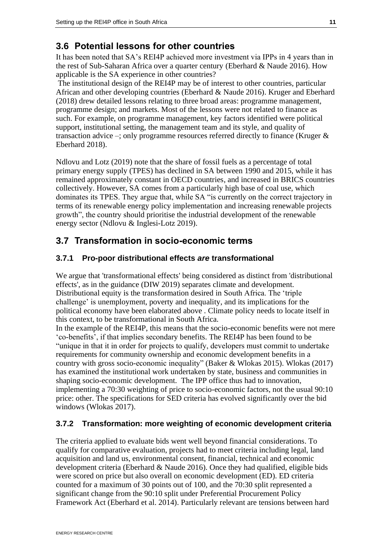#### <span id="page-13-0"></span>**3.6 Potential lessons for other countries**

It has been noted that SA's REI4P achieved more investment via IPPs in 4 years than in the rest of Sub-Saharan Africa over a quarter century (Eberhard & Naude 2016). How applicable is the SA experience in other countries?

The institutional design of the REI4P may be of interest to other countries, particular African and other developing countries (Eberhard & Naude 2016). Kruger and Eberhard (2018) drew detailed lessons relating to three broad areas: programme management, programme design; and markets. Most of the lessons were not related to finance as such. For example, on programme management, key factors identified were political support, institutional setting, the management team and its style, and quality of transaction advice –; only programme resources referred directly to finance (Kruger & Eberhard 2018).

Ndlovu and Lotz (2019) note that the share of fossil fuels as a percentage of total primary energy supply (TPES) has declined in SA between 1990 and 2015, while it has remained approximately constant in OECD countries, and increased in BRICS countries collectively. However, SA comes from a particularly high base of coal use, which dominates its TPES. They argue that, while SA "is currently on the correct trajectory in terms of its renewable energy policy implementation and increasing renewable projects growth", the country should prioritise the industrial development of the renewable energy sector (Ndlovu & Inglesi-Lotz 2019).

#### <span id="page-13-1"></span>**3.7 Transformation in socio-economic terms**

#### <span id="page-13-2"></span>**3.7.1 Pro-poor distributional effects** *are* **transformational**

We argue that 'transformational effects' being considered as distinct from 'distributional effects', as in the guidance (DIW 2019) separates climate and development. Distributional equity is the transformation desired in South Africa. The 'triple challenge' is unemployment, poverty and inequality, and its implications for the political economy have been elaborated above . Climate policy needs to locate itself in this context, to be transformational in South Africa.

In the example of the REI4P, this means that the socio-economic benefits were not mere 'co-benefits', if that implies secondary benefits. The REI4P has been found to be "unique in that it in order for projects to qualify, developers must commit to undertake requirements for community ownership and economic development benefits in a country with gross socio-economic inequality" (Baker & Wlokas 2015). Wlokas (2017) has examined the institutional work undertaken by state, business and communities in shaping socio-economic development. The IPP office thus had to innovation, implementing a 70:30 weighting of price to socio-economic factors, not the usual 90:10 price: other. The specifications for SED criteria has evolved significantly over the bid windows (Wlokas 2017).

#### <span id="page-13-3"></span>**3.7.2 Transformation: more weighting of economic development criteria**

The criteria applied to evaluate bids went well beyond financial considerations. To qualify for comparative evaluation, projects had to meet criteria including legal, land acquisition and land us, environmental consent, financial, technical and economic development criteria (Eberhard & Naude 2016). Once they had qualified, eligible bids were scored on price but also overall on economic development (ED). ED criteria counted for a maximum of 30 points out of 100, and the 70:30 split represented a significant change from the 90:10 split under Preferential Procurement Policy Framework Act (Eberhard et al. 2014). Particularly relevant are tensions between hard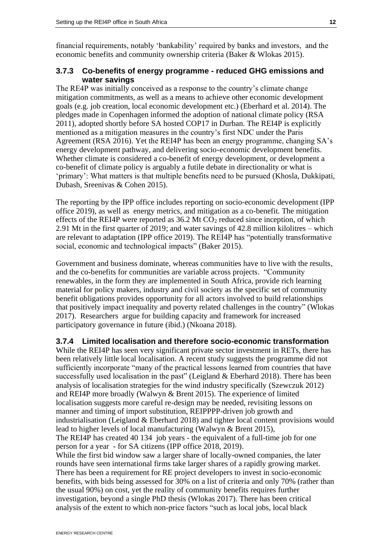financial requirements, notably 'bankability' required by banks and investors, and the economic benefits and community ownership criteria (Baker & Wlokas 2015).

#### <span id="page-14-0"></span>**3.7.3 Co-benefits of energy programme - reduced GHG emissions and water savings**

The RE4P was initially conceived as a response to the country's climate change mitigation commitments, as well as a means to achieve other economic development goals (e.g. job creation, local economic development etc.) (Eberhard et al. 2014). The pledges made in Copenhagen informed the adoption of national climate policy (RSA 2011), adopted shortly before SA hosted COP17 in Durban. The REI4P is explicitly mentioned as a mitigation measures in the country's first NDC under the Paris Agreement (RSA 2016). Yet the REI4P has been an energy programme, changing SA's energy development pathway, and delivering socio-economic development benefits. Whether climate is considered a co-benefit of energy development, or development a co-benefit of climate policy is arguably a futile debate in directionality or what is 'primary': What matters is that multiple benefits need to be pursued (Khosla, Dukkipati, Dubash, Sreenivas & Cohen 2015).

The reporting by the IPP office includes reporting on socio-economic development (IPP office 2019), as well as energy metrics, and mitigation as a co-benefit. The mitigation effects of the REI4P were reported as  $36.2$  Mt  $CO<sub>2</sub>$  reduced since inception, of which 2.91 Mt in the first quarter of 2019; and water savings of 42.8 million kilolitres – which are relevant to adaptation (IPP office 2019). The REI4P has "potentially transformative social, economic and technological impacts" (Baker 2015).

Government and business dominate, whereas communities have to live with the results, and the co-benefits for communities are variable across projects. "Community renewables, in the form they are implemented in South Africa, provide rich learning material for policy makers, industry and civil society as the specific set of community benefit obligations provides opportunity for all actors involved to build relationships that positively impact inequality and poverty related challenges in the country" (Wlokas 2017). Researchers argue for building capacity and framework for increased participatory governance in future (ibid.) (Nkoana 2018).

#### <span id="page-14-1"></span>**3.7.4 Limited localisation and therefore socio-economic transformation**

While the REI4P has seen very significant private sector investment in RETs, there has been relatively little local localisation. A recent study suggests the programme did not sufficiently incorporate "many of the practical lessons learned from countries that have successfully used localisation in the past" (Leigland & Eberhard 2018). There has been analysis of localisation strategies for the wind industry specifically (Szewczuk 2012) and REI4P more broadly (Walwyn & Brent 2015). The experience of limited localisation suggests more careful re-design may be needed, revisiting lessons on manner and timing of import substitution, REIPPPP-driven job growth and industrialisation (Leigland & Eberhard 2018) and tighter local content provisions would lead to higher levels of local manufacturing (Walwyn & Brent 2015), The REI4P has created 40 134 job years - the equivalent of a full-time job for one person for a year - for SA citizens (IPP office 2018, 2019).

While the first bid window saw a larger share of locally-owned companies, the later rounds have seen international firms take larger shares of a rapidly growing market. There has been a requirement for RE project developers to invest in socio-economic benefits, with bids being assessed for 30% on a list of criteria and only 70% (rather than the usual 90%) on cost, yet the reality of community benefits requires further investigation, beyond a single PhD thesis (Wlokas 2017). There has been critical analysis of the extent to which non-price factors "such as local jobs, local black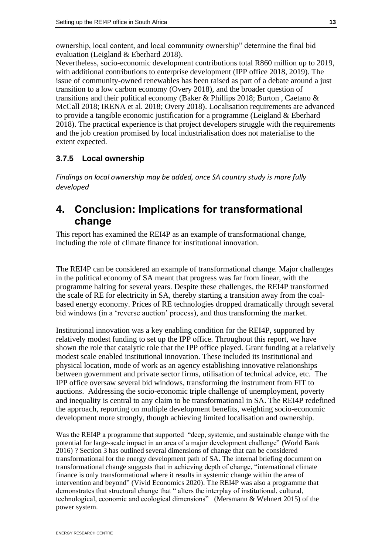ownership, local content, and local community ownership" determine the final bid evaluation (Leigland & Eberhard 2018).

Nevertheless, socio-economic development contributions total R860 million up to 2019, with additional contributions to enterprise development (IPP office 2018, 2019). The issue of community-owned renewables has been raised as part of a debate around a just transition to a low carbon economy (Overy 2018), and the broader question of transitions and their political economy (Baker & Phillips 2018; Burton , Caetano & McCall 2018; IRENA et al. 2018; Overy 2018). Localisation requirements are advanced to provide a tangible economic justification for a programme (Leigland & Eberhard 2018). The practical experience is that project developers struggle with the requirements and the job creation promised by local industrialisation does not materialise to the extent expected.

#### <span id="page-15-0"></span>**3.7.5 Local ownership**

*Findings on local ownership may be added, once SA country study is more fully developed* 

## <span id="page-15-1"></span>**4. Conclusion: Implications for transformational change**

This report has examined the REI4P as an example of transformational change, including the role of climate finance for institutional innovation.

The REI4P can be considered an example of transformational change. Major challenges in the political economy of SA meant that progress was far from linear, with the programme halting for several years. Despite these challenges, the REI4P transformed the scale of RE for electricity in SA, thereby starting a transition away from the coalbased energy economy. Prices of RE technologies dropped dramatically through several bid windows (in a 'reverse auction' process), and thus transforming the market.

Institutional innovation was a key enabling condition for the REI4P, supported by relatively modest funding to set up the IPP office. Throughout this report, we have shown the role that catalytic role that the IPP office played. Grant funding at a relatively modest scale enabled institutional innovation. These included its institutional and physical location, mode of work as an agency establishing innovative relationships between government and private sector firms, utilisation of technical advice, etc. The IPP office oversaw several bid windows, transforming the instrument from FIT to auctions. Addressing the socio-economic triple challenge of unemployment, poverty and inequality is central to any claim to be transformational in SA. The REI4P redefined the approach, reporting on multiple development benefits, weighting socio-economic development more strongly, though achieving limited localisation and ownership.

Was the REI4P a programme that supported "deep, systemic, and sustainable change with the potential for large-scale impact in an area of a major development challenge" (World Bank 2016) ? Section 3 has outlined several dimensions of change that can be considered transformational for the energy development path of SA. The internal briefing document on transformational change suggests that in achieving depth of change, "international climate finance is only transformational where it results in systemic change within the area of intervention and beyond" (Vivid Economics 2020). The REI4P was also a programme that demonstrates that structural change that " alters the interplay of institutional, cultural, technological, economic and ecological dimensions" (Mersmann & Wehnert 2015) of the power system.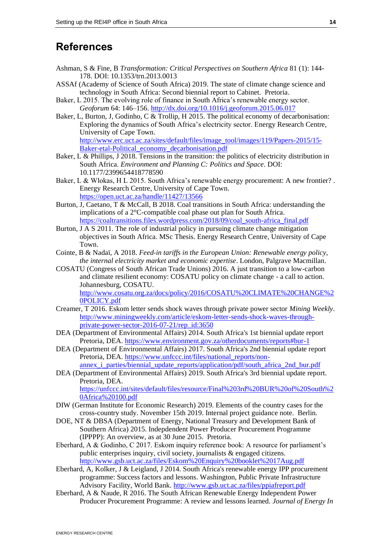## <span id="page-16-0"></span>**References**

- Ashman, S & Fine, B *Transformation: Critical Perspectives on Southern Africa* 81 (1): 144- 178. DOI: 10.1353/trn.2013.0013
- ASSAf (Academy of Science of South Africa) 2019. The state of climate change science and technology in South Africa: Second biennial report to Cabinet. Pretoria.
- Baker, L 2015. The evolving role of finance in South Africa's renewable energy sector. *Geoforum* 64: 146–156.<http://dx.doi.org/10.1016/j.geoforum.2015.06.017>
- Baker, L, Burton, J, Godinho, C & Trollip, H 2015. The political economy of decarbonisation: Exploring the dynamics of South Africa's electricity sector. Energy Research Centre, University of Cape Town. [http://www.erc.uct.ac.za/sites/default/files/image\\_tool/images/119/Papers-2015/15-](http://www.erc.uct.ac.za/sites/default/files/image_tool/images/119/Papers-2015/15-Baker-etal-Political_economy_decarbonisation.pdf) [Baker-etal-Political\\_economy\\_decarbonisation.pdf](http://www.erc.uct.ac.za/sites/default/files/image_tool/images/119/Papers-2015/15-Baker-etal-Political_economy_decarbonisation.pdf)
- Baker,  $\overline{L} \&$  Phillips, J 2018. Tensions in the transition: the politics of electricity distribution in South Africa. *Environment and Planning C: Politics and Space*. DOI: 10.1177/2399654418778590
- Baker, L & Wlokas, H L 2015. South Africa's renewable energy procurement: A new frontier?. Energy Research Centre, University of Cape Town. <https://open.uct.ac.za/handle/11427/13566>
- Burton, J, Caetano, T & McCall, B 2018. Coal transitions in South Africa: understanding the implications of a 2°C-compatible coal phase out plan for South Africa. [https://coaltransitions.files.wordpress.com/2018/09/coal\\_south-africa\\_final.pdf](https://coaltransitions.files.wordpress.com/2018/09/coal_south-africa_final.pdf)
- Burton,  $J \wedge S$  2011. The role of industrial policy in pursuing climate change mitigation objectives in South Africa. MSc Thesis. Energy Research Centre, University of Cape Town.
- Cointe, B & Nadaï, A 2018. *Feed-in tariffs in the European Union: Renewable energy policy, the internal electricity market and economic expertise*. London, Palgrave Macmillan.
- COSATU (Congress of South African Trade Unions) 2016. A just transition to a low-carbon and climate resilient economy: COSATU policy on climate change - a call to action. Johannesburg, COSATU. [http://www.cosatu.org.za/docs/policy/2016/COSATU%20CLIMATE%20CHANGE%2](http://www.cosatu.org.za/docs/policy/2016/COSATU%20CLIMATE%20CHANGE%20POLICY.pdf)

[0POLICY.pdf](http://www.cosatu.org.za/docs/policy/2016/COSATU%20CLIMATE%20CHANGE%20POLICY.pdf)

- Creamer, T 2016. Eskom letter sends shock waves through private power sector *Mining Weekly*. [http://www.miningweekly.com/article/eskom-letter-sends-shock-waves-through](http://www.miningweekly.com/article/eskom-letter-sends-shock-waves-through-private-power-sector-2016-07-21/rep_id:3650)[private-power-sector-2016-07-21/rep\\_id:3650](http://www.miningweekly.com/article/eskom-letter-sends-shock-waves-through-private-power-sector-2016-07-21/rep_id:3650)
- DEA (Department of Environmental Affairs) 2014. South Africa's 1st biennial update report Pretoria, DEA.<https://www.environment.gov.za/otherdocuments/reports#bur-1>
- DEA (Department of Environmental Affairs) 2017. South Africa's 2nd biennial update report Pretoria, DEA. [https://www.unfccc.int/files/national\\_reports/non](https://www.unfccc.int/files/national_reports/non-annex_i_parties/biennial_update_reports/application/pdf/south_africa_2nd_bur.pdf)annex i\_parties/biennial\_update\_reports/application/pdf/south\_africa\_2nd\_bur.pdf
- DEA (Department of Environmental Affairs) 2019. South Africa's 3rd biennial update report. Pretoria, DEA.

[https://unfccc.int/sites/default/files/resource/Final%203rd%20BUR%20of%20South%2](https://unfccc.int/sites/default/files/resource/Final%203rd%20BUR%20of%20South%20Africa%20100.pdf) [0Africa%20100.pdf](https://unfccc.int/sites/default/files/resource/Final%203rd%20BUR%20of%20South%20Africa%20100.pdf)

- DIW (German Institute for Economic Research) 2019. Elements of the country cases for the cross-country study. November 15th 2019. Internal project guidance note. Berlin.
- DOE, NT & DBSA (Department of Energy, National Treasury and Development Bank of Southern Africa) 2015. Indepdendent Power Producer Procurement Programme (IPPPP): An overview, as at 30 June 2015. Pretoria.
- Eberhard, A & Godinho, C 2017. Eskom inquiry reference book: A resource for parliament's public enterprises inquiry, civil society, journalists & engaged citizens. <http://www.gsb.uct.ac.za/files/Eskom%20Enquiry%20booklet%2017Aug.pdf>
- Eberhard, A, Kolker, J & Leigland, J 2014. South Africa's renewable energy IPP procurement programme: Success factors and lessons. Washington, Public Private Infrastructure Advisory Facility, World Bank.<http://www.gsb.uct.ac.za/files/ppiafreport.pdf>
- Eberhard, A & Naude, R 2016. The South African Renewable Energy Independent Power Producer Procurement Programme: A review and lessons learned. *Journal of Energy In*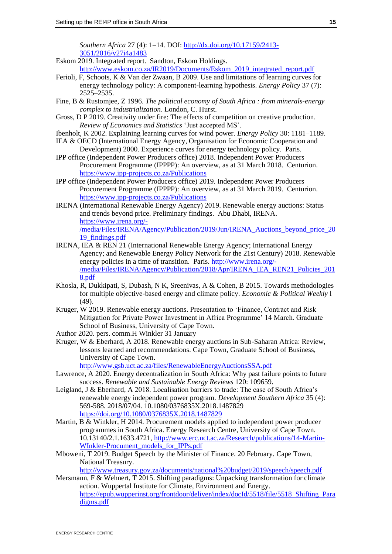*Southern Africa* 27 (4): 1–14. DOI: [http://dx.doi.org/10.17159/2413-](http://dx.doi.org/10.17159/2413-3051/2016/v27i4a1483) [3051/2016/v27i4a1483](http://dx.doi.org/10.17159/2413-3051/2016/v27i4a1483)

- Eskom 2019. Integrated report. Sandton, Eskom Holdings. http://www.eskom.co.za/IR2019/Documents/Eskom 2019 integrated report.pdf
- Ferioli, F, Schoots, K & Van der Zwaan, B 2009. Use and limitations of learning curves for energy technology policy: A component-learning hypothesis. *Energy Policy* 37 (7): 2525–2535.
- Fine, B & Rustomjee, Z 1996. *The political economy of South Africa : from minerals-energy complex to industrialization*. London, C. Hurst.
- Gross, D P 2019. Creativity under fire: The effects of competition on creative production. *Review of Economics and Statistics* 'Just accepted MS'.
- Ibenholt, K 2002. Explaining learning curves for wind power. *Energy Policy* 30: 1181–1189.
- IEA & OECD (International Energy Agency, Organisation for Economic Cooperation and Development) 2000. Experience curves for energy technology policy. Paris.
- IPP office (Independent Power Producers office) 2018. Independent Power Producers Procurement Programme (IPPPP): An overview, as at 31 March 2018. Centurion. <https://www.ipp-projects.co.za/Publications>
- IPP office (Independent Power Producers office) 2019. Independent Power Producers Procurement Programme (IPPPP): An overview, as at 31 March 2019. Centurion. <https://www.ipp-projects.co.za/Publications>
- IRENA (International Renewable Energy Agency) 2019. Renewable energy auctions: Status and trends beyond price. Preliminary findings. Abu Dhabi, IRENA. [https://www.irena.org/-](https://www.irena.org/-/media/Files/IRENA/Agency/Publication/2019/Jun/IRENA_Auctions_beyond_price_2019_findings.pdf) [/media/Files/IRENA/Agency/Publication/2019/Jun/IRENA\\_Auctions\\_beyond\\_price\\_20](https://www.irena.org/-/media/Files/IRENA/Agency/Publication/2019/Jun/IRENA_Auctions_beyond_price_2019_findings.pdf) [19\\_findings.pdf](https://www.irena.org/-/media/Files/IRENA/Agency/Publication/2019/Jun/IRENA_Auctions_beyond_price_2019_findings.pdf)
- IRENA, IEA & REN 21 (International Renewable Energy Agency; International Energy Agency; and Renewable Energy Policy Network for the 21st Century) 2018. Renewable energy policies in a time of transition. Paris. [http://www.irena.org/-](http://www.irena.org/-/media/Files/IRENA/Agency/Publication/2018/Apr/IRENA_IEA_REN21_Policies_2018.pdf) [/media/Files/IRENA/Agency/Publication/2018/Apr/IRENA\\_IEA\\_REN21\\_Policies\\_201](http://www.irena.org/-/media/Files/IRENA/Agency/Publication/2018/Apr/IRENA_IEA_REN21_Policies_2018.pdf) [8.pdf](http://www.irena.org/-/media/Files/IRENA/Agency/Publication/2018/Apr/IRENA_IEA_REN21_Policies_2018.pdf)
- Khosla, R, Dukkipati, S, Dubash, N K, Sreenivas, A & Cohen, B 2015. Towards methodologies for multiple objective-based energy and climate policy. *Economic & Political Weekly* l (49).
- Kruger, W 2019. Renewable energy auctions. Presentation to 'Finance, Contract and Risk Mitigation for Private Power Investment in Africa Programme' 14 March. Graduate School of Business, University of Cape Town.
- Author 2020. pers. comm.H Winkler 31 January
- Kruger, W & Eberhard, A 2018. Renewable energy auctions in Sub-Saharan Africa: Review, lessons learned and recommendations. Cape Town, Graduate School of Business, University of Cape Town.

<http://www.gsb.uct.ac.za/files/RenewableEnergyAuctionsSSA.pdf>

- Lawrence, A 2020. Energy decentralization in South Africa: Why past failure points to future success. *Renewable and Sustainable Energy Reviews* 120: 109659.
- Leigland, J & Eberhard, A 2018. Localisation barriers to trade: The case of South Africa's renewable energy independent power program. *Development Southern Africa* 35 (4): 569-588. 2018/07/04. 10.1080/0376835X.2018.1487829 <https://doi.org/10.1080/0376835X.2018.1487829>
- Martin, B & Winkler, H 2014. Procurement models applied to independent power producer programmes in South Africa. Energy Research Centre, University of Cape Town. 10.13140/2.1.1633.4721, [http://www.erc.uct.ac.za/Research/publications/14-Martin-](http://www.erc.uct.ac.za/Research/publications/14-Martin-WInkler-Procument_models_for_IPPs.pdf)[WInkler-Procument\\_models\\_for\\_IPPs.pdf](http://www.erc.uct.ac.za/Research/publications/14-Martin-WInkler-Procument_models_for_IPPs.pdf)
- Mboweni, T 2019. Budget Speech by the Minister of Finance. 20 February. Cape Town, National Treasury.

<http://www.treasury.gov.za/documents/national%20budget/2019/speech/speech.pdf>

Mersmann, F & Wehnert, T 2015. Shifting paradigms: Unpacking transformation for climate action. Wuppertal Institute for Climate, Environment and Energy. [https://epub.wupperinst.org/frontdoor/deliver/index/docId/5518/file/5518\\_Shifting\\_Para](https://epub.wupperinst.org/frontdoor/deliver/index/docId/5518/file/5518_Shifting_Paradigms.pdf) [digms.pdf](https://epub.wupperinst.org/frontdoor/deliver/index/docId/5518/file/5518_Shifting_Paradigms.pdf)